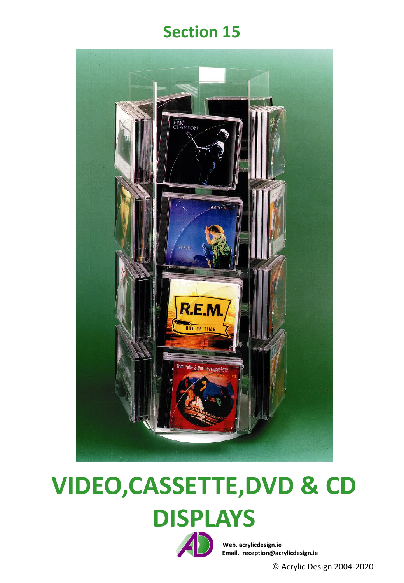# **Section 15**



# **VIDEO,CASSETTE,DVD & CD DISPLAYS**



**Web. acrylicdesign.ie Email. reception@acrylicdesign.ie**

© Acrylic Design 2004-2020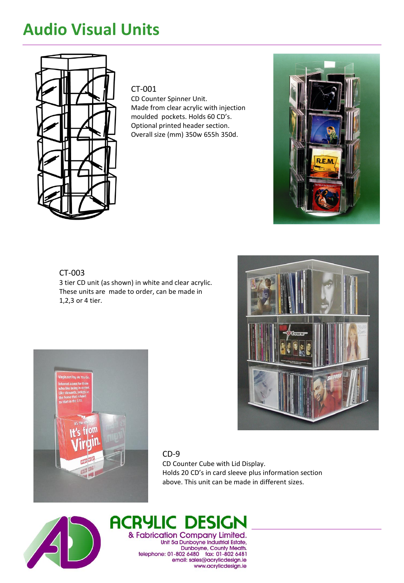# **Audio Visual Units**



## CT-001

CD Counter Spinner Unit. Made from clear acrylic with injection moulded pockets. Holds 60 CD's. Optional printed header section. Overall size (mm) 350w 655h 350d.



3 tier CD unit (as shown) in white and clear acrylic. These units are made to order, can be made in 1,2,3 or 4 tier.





R.E.M

## CD-9

CD Counter Cube with Lid Display. Holds 20 CD's in card sleeve plus information section above. This unit can be made in different sizes.



# **ACRYLIC DESIGN** & Fabrication Company Limited. Unit 5a Dunboyne Industrial Estate,

Dunboyne, County Meath. telephone: 01-802 6480 fax: 01-802 6481 email: sales@acrylicdesign.ie www.acrylicdesign.ie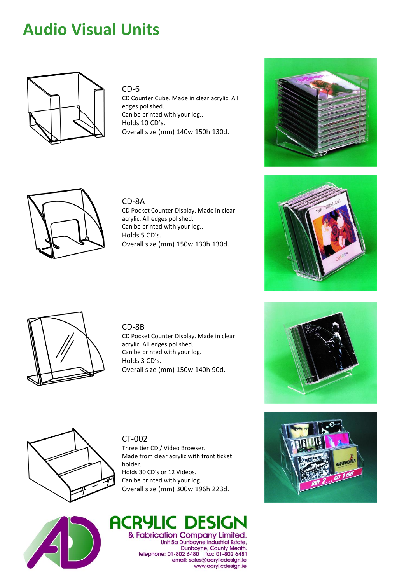# **Audio Visual Units**



#### CD-6

CD Counter Cube. Made in clear acrylic. All edges polished. Can be printed with your log.. Holds 10 CD's. Overall size (mm) 140w 150h 130d.





#### CD-8A

CD Pocket Counter Display. Made in clear acrylic. All edges polished. Can be printed with your log.. Holds 5 CD's. Overall size (mm) 150w 130h 130d.





#### CD-8B

CD Pocket Counter Display. Made in clear acrylic. All edges polished. Can be printed with your log. Holds 3 CD's. Overall size (mm) 150w 140h 90d.





#### CT-002

Three tier CD / Video Browser. Made from clear acrylic with front ticket holder. Holds 30 CD's or 12 Videos. Can be printed with your log. Overall size (mm) 300w 196h 223d.



**ACRYLIC DESI** & Fabrication Company Limited. Unit 5a Dunboyne Industrial Estate, Dunboyne, County Meath. telephone: 01-802 6480 fax: 01-802 6481 email: sales@acrylicdesign.ie www.acrylicdesign.ie